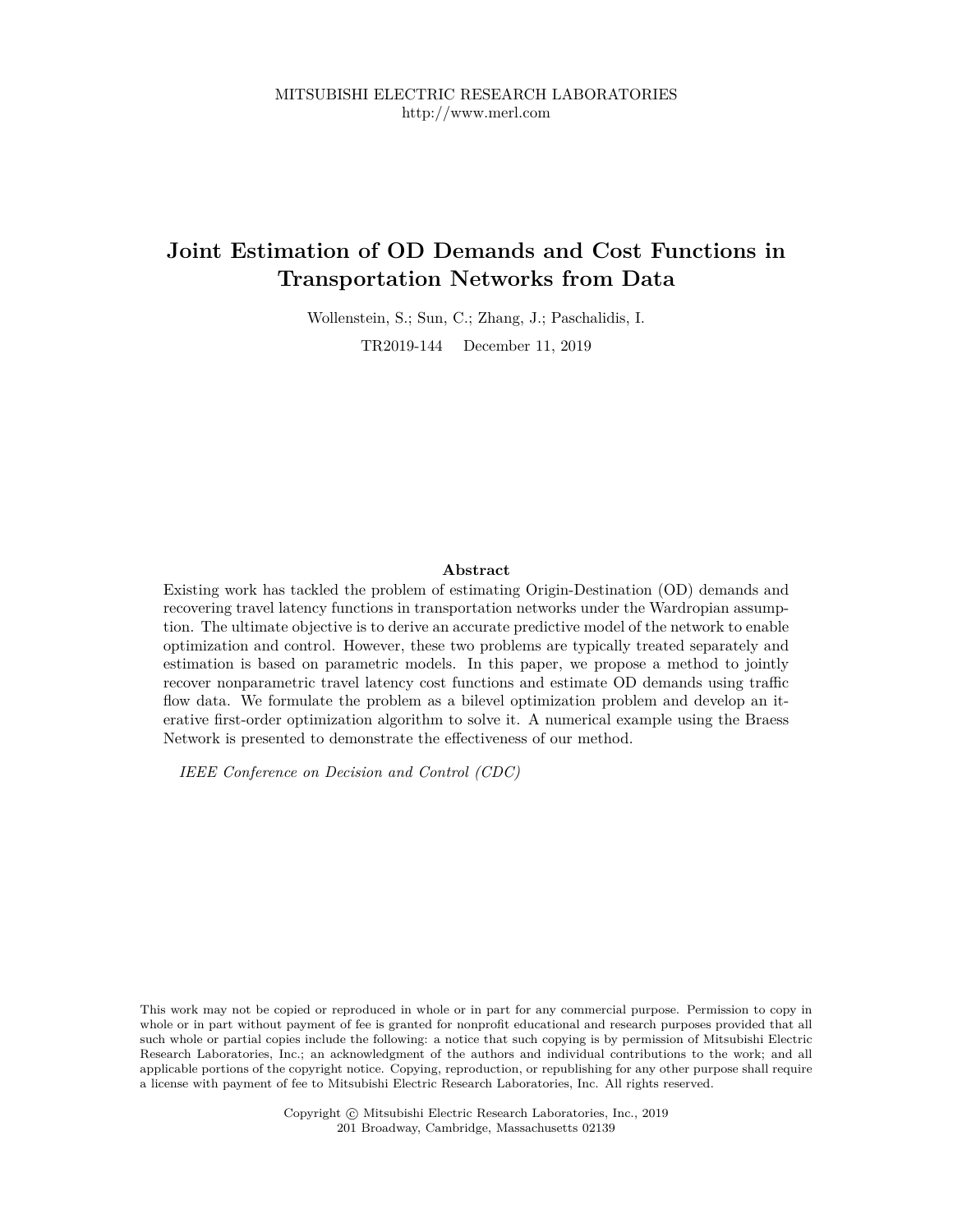# **Joint Estimation of OD Demands and Cost Functions in Transportation Networks from Data**

Wollenstein, S.; Sun, C.; Zhang, J.; Paschalidis, I.

TR2019-144 December 11, 2019

### **Abstract**

Existing work has tackled the problem of estimating Origin-Destination (OD) demands and recovering travel latency functions in transportation networks under the Wardropian assumption. The ultimate objective is to derive an accurate predictive model of the network to enable optimization and control. However, these two problems are typically treated separately and estimation is based on parametric models. In this paper, we propose a method to jointly recover nonparametric travel latency cost functions and estimate OD demands using traffic flow data. We formulate the problem as a bilevel optimization problem and develop an iterative first-order optimization algorithm to solve it. A numerical example using the Braess Network is presented to demonstrate the effectiveness of our method.

*IEEE Conference on Decision and Control (CDC)*

This work may not be copied or reproduced in whole or in part for any commercial purpose. Permission to copy in whole or in part without payment of fee is granted for nonprofit educational and research purposes provided that all such whole or partial copies include the following: a notice that such copying is by permission of Mitsubishi Electric Research Laboratories, Inc.; an acknowledgment of the authors and individual contributions to the work; and all applicable portions of the copyright notice. Copying, reproduction, or republishing for any other purpose shall require a license with payment of fee to Mitsubishi Electric Research Laboratories, Inc. All rights reserved.

> Copyright © Mitsubishi Electric Research Laboratories, Inc., 2019 201 Broadway, Cambridge, Massachusetts 02139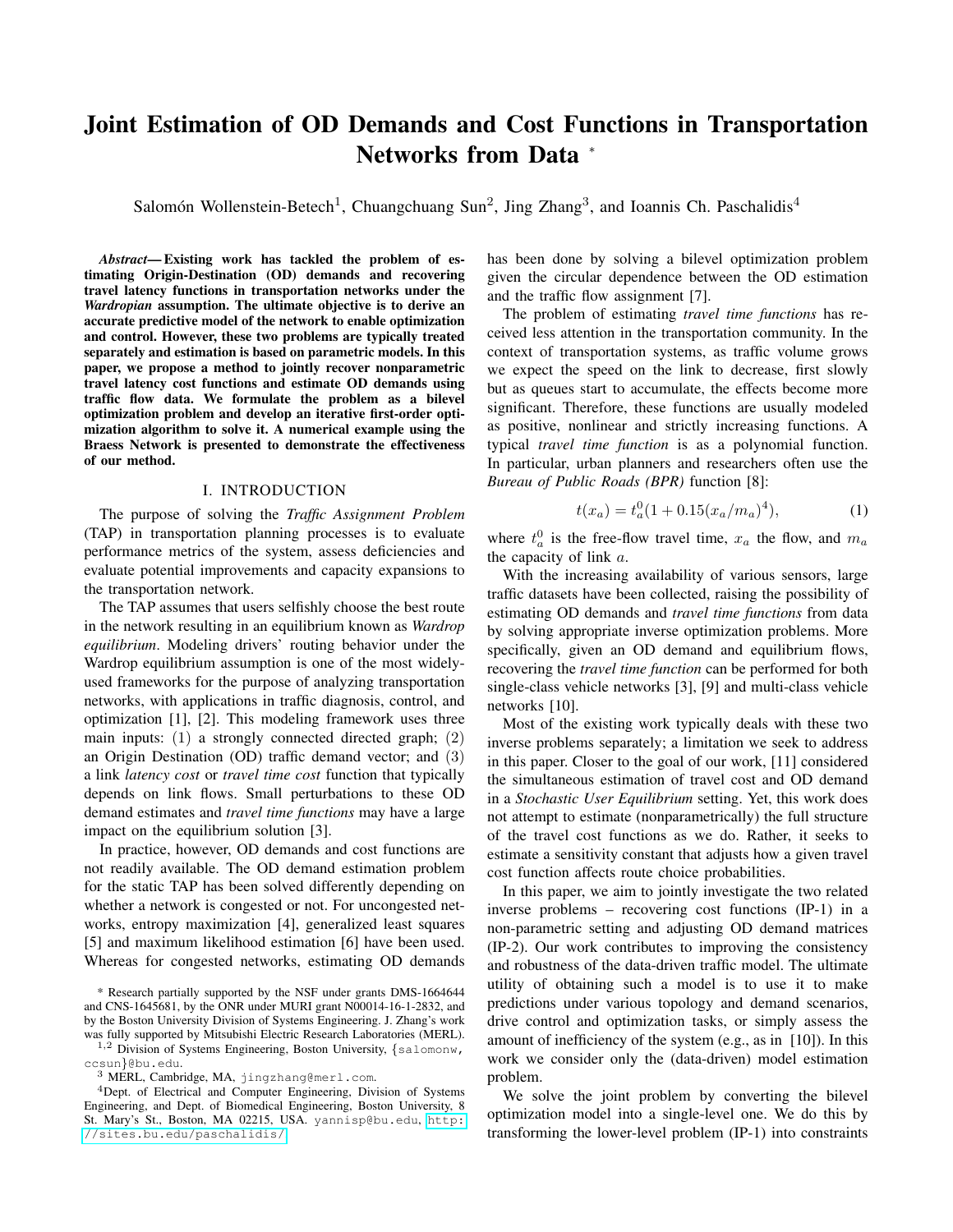# Joint Estimation of OD Demands and Cost Functions in Transportation Networks from Data <sup>∗</sup>

Salomón Wollenstein-Betech<sup>1</sup>, Chuangchuang Sun<sup>2</sup>, Jing Zhang<sup>3</sup>, and Ioannis Ch. Paschalidis<sup>4</sup>

*Abstract*— Existing work has tackled the problem of estimating Origin-Destination (OD) demands and recovering travel latency functions in transportation networks under the *Wardropian* assumption. The ultimate objective is to derive an accurate predictive model of the network to enable optimization and control. However, these two problems are typically treated separately and estimation is based on parametric models. In this paper, we propose a method to jointly recover nonparametric travel latency cost functions and estimate OD demands using traffic flow data. We formulate the problem as a bilevel optimization problem and develop an iterative first-order optimization algorithm to solve it. A numerical example using the Braess Network is presented to demonstrate the effectiveness of our method.

#### I. INTRODUCTION

The purpose of solving the *Traffic Assignment Problem* (TAP) in transportation planning processes is to evaluate performance metrics of the system, assess deficiencies and evaluate potential improvements and capacity expansions to the transportation network.

The TAP assumes that users selfishly choose the best route in the network resulting in an equilibrium known as *Wardrop equilibrium*. Modeling drivers' routing behavior under the Wardrop equilibrium assumption is one of the most widelyused frameworks for the purpose of analyzing transportation networks, with applications in traffic diagnosis, control, and optimization [1], [2]. This modeling framework uses three main inputs: (1) a strongly connected directed graph; (2) an Origin Destination (OD) traffic demand vector; and (3) a link *latency cost* or *travel time cost* function that typically depends on link flows. Small perturbations to these OD demand estimates and *travel time functions* may have a large impact on the equilibrium solution [3].

In practice, however, OD demands and cost functions are not readily available. The OD demand estimation problem for the static TAP has been solved differently depending on whether a network is congested or not. For uncongested networks, entropy maximization [4], generalized least squares [5] and maximum likelihood estimation [6] have been used. Whereas for congested networks, estimating OD demands

\* Research partially supported by the NSF under grants DMS-1664644 and CNS-1645681, by the ONR under MURI grant N00014-16-1-2832, and by the Boston University Division of Systems Engineering. J. Zhang's work was fully supported by Mitsubishi Electric Research Laboratories (MERL).

1,2 Division of Systems Engineering, Boston University, {salomonw, ccsun}@bu.edu.

<sup>4</sup>Dept. of Electrical and Computer Engineering, Division of Systems Engineering, and Dept. of Biomedical Engineering, Boston University, 8 St. Mary's St., Boston, MA 02215, USA. yannisp@bu.edu, [http:](http://sites.bu.edu/paschalidis/) [//sites.bu.edu/paschalidis/](http://sites.bu.edu/paschalidis/).

has been done by solving a bilevel optimization problem given the circular dependence between the OD estimation and the traffic flow assignment [7].

The problem of estimating *travel time functions* has received less attention in the transportation community. In the context of transportation systems, as traffic volume grows we expect the speed on the link to decrease, first slowly but as queues start to accumulate, the effects become more significant. Therefore, these functions are usually modeled as positive, nonlinear and strictly increasing functions. A typical *travel time function* is as a polynomial function. In particular, urban planners and researchers often use the *Bureau of Public Roads (BPR)* function [8]:

$$
t(x_a) = t_a^0 (1 + 0.15(x_a/m_a)^4), \tag{1}
$$

where  $t_a^0$  is the free-flow travel time,  $x_a$  the flow, and  $m_a$ the capacity of link a.

With the increasing availability of various sensors, large traffic datasets have been collected, raising the possibility of estimating OD demands and *travel time functions* from data by solving appropriate inverse optimization problems. More specifically, given an OD demand and equilibrium flows, recovering the *travel time function* can be performed for both single-class vehicle networks [3], [9] and multi-class vehicle networks [10].

Most of the existing work typically deals with these two inverse problems separately; a limitation we seek to address in this paper. Closer to the goal of our work, [11] considered the simultaneous estimation of travel cost and OD demand in a *Stochastic User Equilibrium* setting. Yet, this work does not attempt to estimate (nonparametrically) the full structure of the travel cost functions as we do. Rather, it seeks to estimate a sensitivity constant that adjusts how a given travel cost function affects route choice probabilities.

In this paper, we aim to jointly investigate the two related inverse problems – recovering cost functions (IP-1) in a non-parametric setting and adjusting OD demand matrices (IP-2). Our work contributes to improving the consistency and robustness of the data-driven traffic model. The ultimate utility of obtaining such a model is to use it to make predictions under various topology and demand scenarios, drive control and optimization tasks, or simply assess the amount of inefficiency of the system (e.g., as in [10]). In this work we consider only the (data-driven) model estimation problem.

We solve the joint problem by converting the bilevel optimization model into a single-level one. We do this by transforming the lower-level problem (IP-1) into constraints

<sup>3</sup> MERL, Cambridge, MA, jingzhang@merl.com.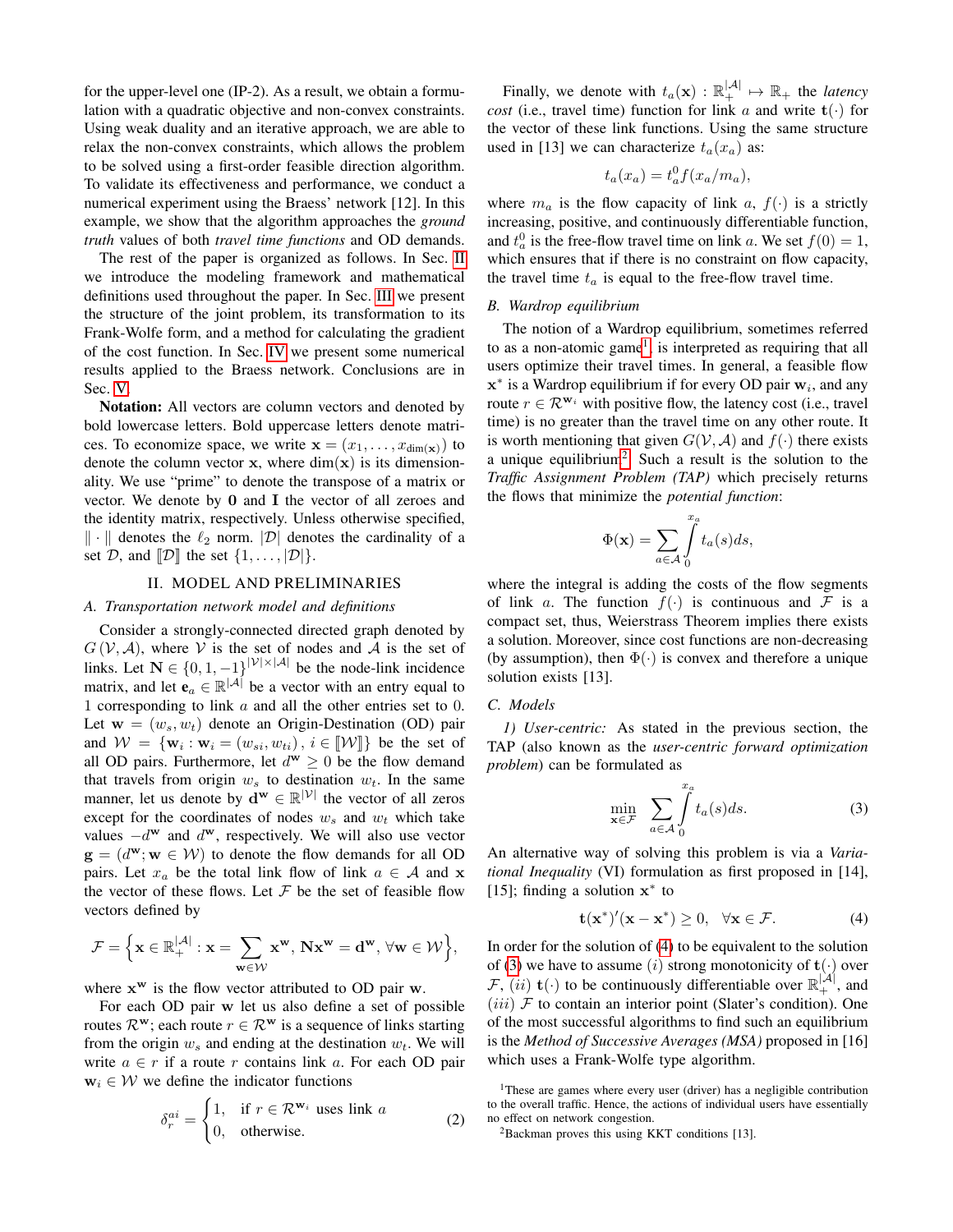for the upper-level one (IP-2). As a result, we obtain a formulation with a quadratic objective and non-convex constraints. Using weak duality and an iterative approach, we are able to relax the non-convex constraints, which allows the problem to be solved using a first-order feasible direction algorithm. To validate its effectiveness and performance, we conduct a numerical experiment using the Braess' network [12]. In this example, we show that the algorithm approaches the *ground truth* values of both *travel time functions* and OD demands.

The rest of the paper is organized as follows. In Sec. II we introduce the modeling framework and mathematical definitions used throughout the paper. In Sec. III we present the structure of the joint problem, its transformation to its Frank-Wolfe form, and a method for calculating the gradient of the cost function. In Sec. IV we present some numerical results applied to the Braess network. Conclusions are in Sec. V.

Notation: All vectors are column vectors and denoted by bold lowercase letters. Bold uppercase letters denote matrices. To economize space, we write  $\mathbf{x} = (x_1, \dots, x_{\dim(\mathbf{x})})$  to denote the column vector  $x$ , where  $\dim(x)$  is its dimensionality. We use "prime" to denote the transpose of a matrix or vector. We denote by 0 and I the vector of all zeroes and the identity matrix, respectively. Unless otherwise specified,  $\|\cdot\|$  denotes the  $\ell_2$  norm.  $|\mathcal{D}|$  denotes the cardinality of a set  $D$ , and  $[D]$  the set  $\{1, \ldots, |D|\}.$ 

#### II. MODEL AND PRELIMINARIES

#### *A. Transportation network model and definitions*

Consider a strongly-connected directed graph denoted by  $G(V, A)$ , where V is the set of nodes and A is the set of links. Let  $N \in \{0, 1, -1\}^{|\mathcal{V}| \times |\mathcal{A}|}$  be the node-link incidence matrix, and let  $\mathbf{e}_a \in \mathbb{R}^{|\mathcal{A}|}$  be a vector with an entry equal to 1 corresponding to link a and all the other entries set to 0. Let  $\mathbf{w} = (w_s, w_t)$  denote an Origin-Destination (OD) pair and  $W = \{\mathbf{w}_i : \mathbf{w}_i = (w_{si}, w_{ti}), i \in [\![\mathcal{W}]\!] \}$  be the set of all OD pairs. Furthermore, let  $d^{\mathbf{w}} \geq 0$  be the flow demand that travels from origin  $w_s$  to destination  $w_t$ . In the same manner, let us denote by  $\mathbf{d}^{\mathbf{w}} \in \mathbb{R}^{|\mathcal{V}|}$  the vector of all zeros except for the coordinates of nodes  $w_s$  and  $w_t$  which take values  $-d^w$  and  $d^w$ , respectively. We will also use vector  $\mathbf{g} = (d^{\mathbf{w}}; \mathbf{w} \in \mathcal{W})$  to denote the flow demands for all OD pairs. Let  $x_a$  be the total link flow of link  $a \in A$  and x the vector of these flows. Let  $F$  be the set of feasible flow vectors defined by

$$
\mathcal{F}=\Big\{\mathbf{x}\in\mathbb{R}_+^{|\mathcal{A}|}:\mathbf{x}=\sum_{\mathbf{w}\in\mathcal{W}}\mathbf{x}^\mathbf{w},\,\mathbf{N}\mathbf{x}^\mathbf{w}=\mathbf{d}^\mathbf{w},\,\forall\mathbf{w}\in\mathcal{W}\Big\},
$$

where  $x^w$  is the flow vector attributed to OD pair  $w$ .

For each OD pair w let us also define a set of possible routes  $\mathcal{R}^{\mathbf{w}}$ ; each route  $r \in \mathcal{R}^{\mathbf{w}}$  is a sequence of links starting from the origin  $w_s$  and ending at the destination  $w_t$ . We will write  $a \in r$  if a route r contains link a. For each OD pair  $w_i \in \mathcal{W}$  we define the indicator functions

$$
\delta_r^{ai} = \begin{cases} 1, & \text{if } r \in \mathcal{R}^{\mathbf{w}_i} \text{ uses link } a \\ 0, & \text{otherwise.} \end{cases}
$$
 (2)

Finally, we denote with  $t_a(\mathbf{x}) : \mathbb{R}_+^{|\mathcal{A}|} \mapsto \mathbb{R}_+$  the *latency cost* (i.e., travel time) function for link a and write  $t(\cdot)$  for the vector of these link functions. Using the same structure used in [13] we can characterize  $t_a(x_a)$  as:

$$
t_a(x_a) = t_a^0 f(x_a/m_a),
$$

where  $m_a$  is the flow capacity of link a,  $f(\cdot)$  is a strictly increasing, positive, and continuously differentiable function, and  $t_a^0$  is the free-flow travel time on link a. We set  $f(0) = 1$ , which ensures that if there is no constraint on flow capacity, the travel time  $t_a$  is equal to the free-flow travel time.

#### *B. Wardrop equilibrium*

The notion of a Wardrop equilibrium, sometimes referred to as a non-atomic game<sup>1</sup>, is interpreted as requiring that all users optimize their travel times. In general, a feasible flow  $\mathbf{x}^*$  is a Wardrop equilibrium if for every OD pair  $\mathbf{w}_i$ , and any route  $r \in \mathcal{R}^{w_i}$  with positive flow, the latency cost (i.e., travel time) is no greater than the travel time on any other route. It is worth mentioning that given  $G(V, A)$  and  $f(\cdot)$  there exists a unique equilibrium<sup>2</sup>. Such a result is the solution to the *Traffic Assignment Problem (TAP)* which precisely returns the flows that minimize the *potential function*:

$$
\Phi(\mathbf{x}) = \sum_{a \in \mathcal{A}} \int_{0}^{x_a} t_a(s) ds,
$$

where the integral is adding the costs of the flow segments of link a. The function  $f(\cdot)$  is continuous and F is a compact set, thus, Weierstrass Theorem implies there exists a solution. Moreover, since cost functions are non-decreasing (by assumption), then  $\Phi(\cdot)$  is convex and therefore a unique solution exists [13].

#### *C. Models*

*1) User-centric:* As stated in the previous section, the TAP (also known as the *user-centric forward optimization problem*) can be formulated as

$$
\min_{\mathbf{x} \in \mathcal{F}} \sum_{a \in \mathcal{A}} \int_{0}^{x_a} t_a(s) ds.
$$
 (3)

An alternative way of solving this problem is via a *Variational Inequality* (VI) formulation as first proposed in [14], [15]; finding a solution  $x^*$  to

$$
\mathbf{t}(\mathbf{x}^*)'(\mathbf{x} - \mathbf{x}^*) \ge 0, \quad \forall \mathbf{x} \in \mathcal{F}.
$$
 (4)

In order for the solution of (4) to be equivalent to the solution of (3) we have to assume (i) strong monotonicity of  $\mathbf{t}(\cdot)$  over  $\mathcal{F}, (ii)$  t(·) to be continuously differentiable over  $\mathbb{R}^{|\mathcal{A}|}_+$ , and  $(iii)$   $F$  to contain an interior point (Slater's condition). One of the most successful algorithms to find such an equilibrium is the *Method of Successive Averages (MSA)* proposed in [16] which uses a Frank-Wolfe type algorithm.

<sup>&</sup>lt;sup>1</sup>These are games where every user (driver) has a negligible contribution to the overall traffic. Hence, the actions of individual users have essentially no effect on network congestion.

 ${}^{2}$ Backman proves this using KKT conditions [13].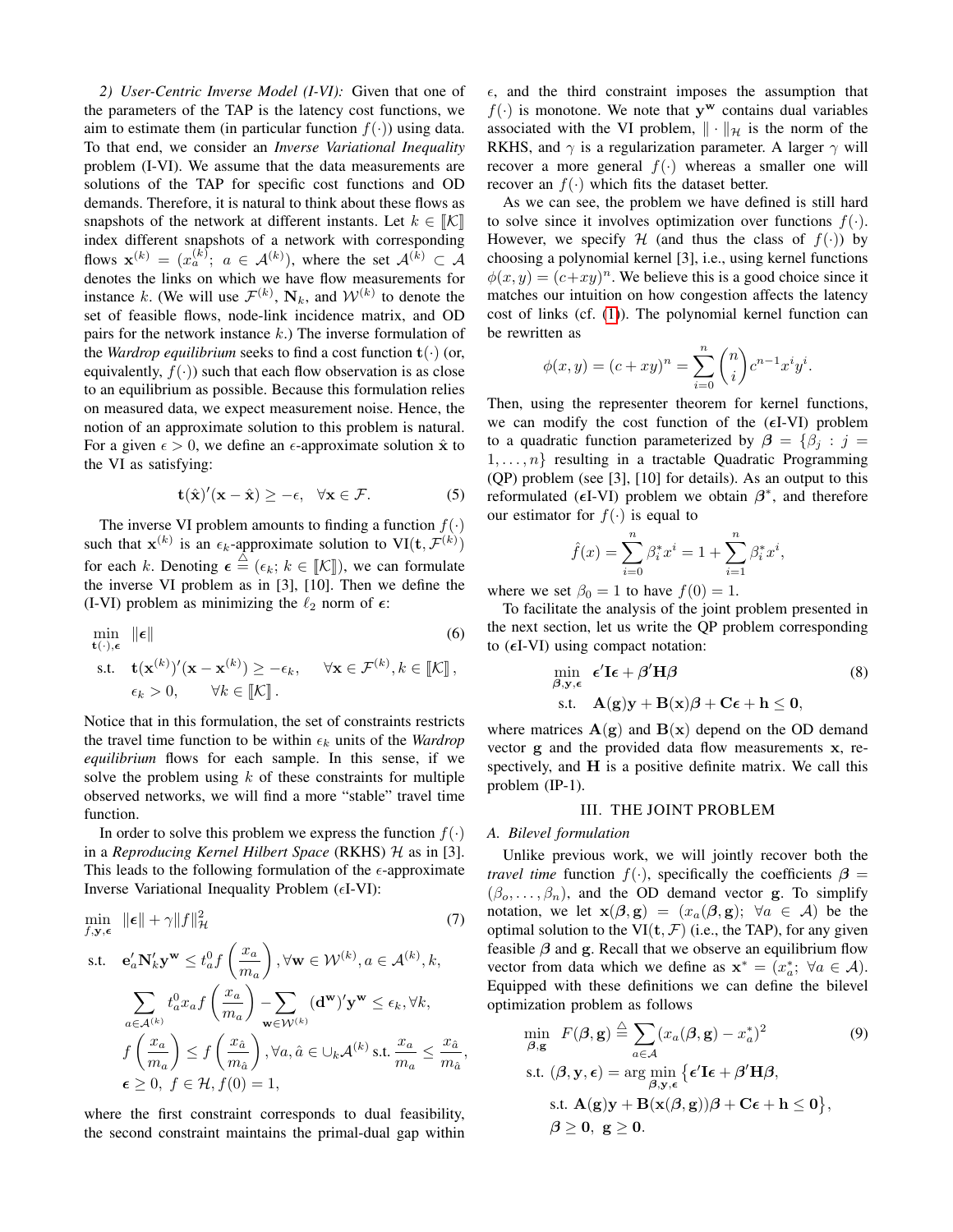*2) User-Centric Inverse Model (I-VI):* Given that one of the parameters of the TAP is the latency cost functions, we aim to estimate them (in particular function  $f(\cdot)$ ) using data. To that end, we consider an *Inverse Variational Inequality* problem (I-VI). We assume that the data measurements are solutions of the TAP for specific cost functions and OD demands. Therefore, it is natural to think about these flows as snapshots of the network at different instants. Let  $k \in \mathbb{K}$ index different snapshots of a network with corresponding flows  $\mathbf{x}^{(k)} = (x_a^{(k)}; a \in \mathcal{A}^{(k)}),$  where the set  $\mathcal{A}^{(k)} \subset \mathcal{A}$ denotes the links on which we have flow measurements for instance k. (We will use  $\mathcal{F}^{(k)}$ ,  $N_k$ , and  $\mathcal{W}^{(k)}$  to denote the set of feasible flows, node-link incidence matrix, and OD pairs for the network instance  $k$ .) The inverse formulation of the *Wardrop equilibrium* seeks to find a cost function  $t(\cdot)$  (or, equivalently,  $f(\cdot)$  such that each flow observation is as close to an equilibrium as possible. Because this formulation relies on measured data, we expect measurement noise. Hence, the notion of an approximate solution to this problem is natural. For a given  $\epsilon > 0$ , we define an  $\epsilon$ -approximate solution  $\hat{x}$  to the VI as satisfying:

$$
\mathbf{t}(\hat{\mathbf{x}})'(\mathbf{x} - \hat{\mathbf{x}}) \ge -\epsilon, \quad \forall \mathbf{x} \in \mathcal{F}.\tag{5}
$$

The inverse VI problem amounts to finding a function  $f(.)$ such that  $\mathbf{x}^{(k)}$  is an  $\epsilon_k$ -approximate solution to  $VI(\mathbf{t}, \mathcal{F}^{(k)})$ for each k. Denoting  $\epsilon \stackrel{\triangle}{=} (\epsilon_k; k \in [\![\mathcal{K}]\!])$ , we can formulate the inverse VI problem as in [3], [10]. Then we define the (I-VI) problem as minimizing the  $\ell_2$  norm of  $\epsilon$ :

$$
\min_{\mathbf{t}(\cdot), \epsilon} \|\epsilon\|
$$
\nso that

\n
$$
\text{s.t.} \quad \mathbf{t}(\mathbf{x}^{(k)})'(\mathbf{x} - \mathbf{x}^{(k)}) \ge -\epsilon_k, \quad \forall \mathbf{x} \in \mathcal{F}^{(k)}, k \in [\![\mathcal{K}]\!],
$$
\n
$$
\epsilon_k > 0, \quad \forall k \in [\![\mathcal{K}]\!].
$$
\n(6)

Notice that in this formulation, the set of constraints restricts the travel time function to be within  $\epsilon_k$  units of the *Wardrop equilibrium* flows for each sample. In this sense, if we solve the problem using  $k$  of these constraints for multiple observed networks, we will find a more "stable" travel time function.

In order to solve this problem we express the function  $f(\cdot)$ in a *Reproducing Kernel Hilbert Space* (RKHS) H as in [3]. This leads to the following formulation of the  $\epsilon$ -approximate Inverse Variational Inequality Problem  $(\epsilon I-VI)$ :

$$
\min_{f, \mathbf{y}, \epsilon} \|\epsilon\| + \gamma \|f\|_{\mathcal{H}}^{2}
$$
\n
$$
\text{s.t.} \quad \mathbf{e}_{a}^{\prime} \mathbf{N}_{k}^{\prime} \mathbf{y}^{\mathbf{w}} \le t_{a}^{0} f\left(\frac{x_{a}}{m_{a}}\right), \forall \mathbf{w} \in \mathcal{W}^{(k)}, a \in \mathcal{A}^{(k)}, k,
$$
\n
$$
\sum_{a \in \mathcal{A}^{(k)}} t_{a}^{0} x_{a} f\left(\frac{x_{a}}{m_{a}}\right) - \sum_{\mathbf{w} \in \mathcal{W}^{(k)}} (\mathbf{d}^{\mathbf{w}})^{\prime} \mathbf{y}^{\mathbf{w}} \le \epsilon_{k}, \forall k,
$$
\n
$$
f\left(\frac{x_{a}}{m_{a}}\right) \le f\left(\frac{x_{\hat{a}}}{m_{\hat{a}}}\right), \forall a, \hat{a} \in \bigcup_{k} \mathcal{A}^{(k)} \text{ s.t. } \frac{x_{a}}{m_{a}} \le \frac{x_{\hat{a}}}{m_{\hat{a}}},
$$
\n
$$
\epsilon \ge 0, f \in \mathcal{H}, f(0) = 1,
$$
\n
$$
(7)
$$

where the first constraint corresponds to dual feasibility, the second constraint maintains the primal-dual gap within  $\epsilon$ , and the third constraint imposes the assumption that  $f(\cdot)$  is monotone. We note that y<sup>w</sup> contains dual variables associated with the VI problem,  $\|\cdot\|_{\mathcal{H}}$  is the norm of the RKHS, and  $\gamma$  is a regularization parameter. A larger  $\gamma$  will recover a more general  $f(\cdot)$  whereas a smaller one will recover an  $f(\cdot)$  which fits the dataset better.

As we can see, the problem we have defined is still hard to solve since it involves optimization over functions  $f(\cdot)$ . However, we specify H (and thus the class of  $f(.)$ ) by choosing a polynomial kernel [3], i.e., using kernel functions  $\phi(x, y) = (c+xy)^n$ . We believe this is a good choice since it matches our intuition on how congestion affects the latency cost of links (cf. (1)). The polynomial kernel function can be rewritten as

$$
\phi(x,y)=(c+xy)^n=\sum_{i=0}^n\binom{n}{i}c^{n-1}x^iy^i.
$$

Then, using the representer theorem for kernel functions, we can modify the cost function of the  $(\epsilon I-VI)$  problem to a quadratic function parameterized by  $\beta = {\beta_i : j =$  $1, \ldots, n$  resulting in a tractable Quadratic Programming (QP) problem (see [3], [10] for details). As an output to this reformulated ( $\epsilon$ I-VI) problem we obtain  $\beta^*$ , and therefore our estimator for  $f(.)$  is equal to

$$
\hat{f}(x) = \sum_{i=0}^{n} \beta_i^* x^i = 1 + \sum_{i=1}^{n} \beta_i^* x^i,
$$

where we set  $\beta_0 = 1$  to have  $f(0) = 1$ .

To facilitate the analysis of the joint problem presented in the next section, let us write the QP problem corresponding to  $(\epsilon I-VI)$  using compact notation:

$$
\min_{\beta, y, \epsilon} \epsilon' \mathbf{I} \epsilon + \beta' \mathbf{H} \beta \tag{8}
$$
  
s.t.  $\mathbf{A}(\mathbf{g})\mathbf{y} + \mathbf{B}(\mathbf{x})\beta + \mathbf{C}\epsilon + \mathbf{h} \leq \mathbf{0},$ 

where matrices  $A(g)$  and  $B(x)$  depend on the OD demand vector g and the provided data flow measurements x, respectively, and H is a positive definite matrix. We call this problem (IP-1).

#### III. THE JOINT PROBLEM

#### *A. Bilevel formulation*

Unlike previous work, we will jointly recover both the *travel time* function  $f(\cdot)$ , specifically the coefficients  $\beta$  =  $(\beta_0, \ldots, \beta_n)$ , and the OD demand vector g. To simplify notation, we let  $\mathbf{x}(\beta, \mathbf{g}) = (x_a(\beta, \mathbf{g}); \ \forall a \in \mathcal{A})$  be the optimal solution to the VI $(t, F)$  (i.e., the TAP), for any given feasible  $\beta$  and g. Recall that we observe an equilibrium flow vector from data which we define as  $\mathbf{x}^* = (x_a^*; \ \forall a \in \mathcal{A})$ . Equipped with these definitions we can define the bilevel optimization problem as follows

$$
\min_{\beta, g} F(\beta, g) \stackrel{\triangle}{=} \sum_{a \in \mathcal{A}} (x_a(\beta, g) - x_a^*)^2
$$
(9)  
s.t.  $(\beta, y, \epsilon) = \arg \min_{\beta, y, \epsilon} {\{\epsilon' \mathbf{I} \epsilon + \beta' \mathbf{H} \beta, \atop \beta, y, \epsilon \in \mathbf{B} \mathbf{X}(\beta, g)) \beta + \mathbf{C} \epsilon + \mathbf{h} \le 0 \},$   
 $\beta \ge 0, g \ge 0.$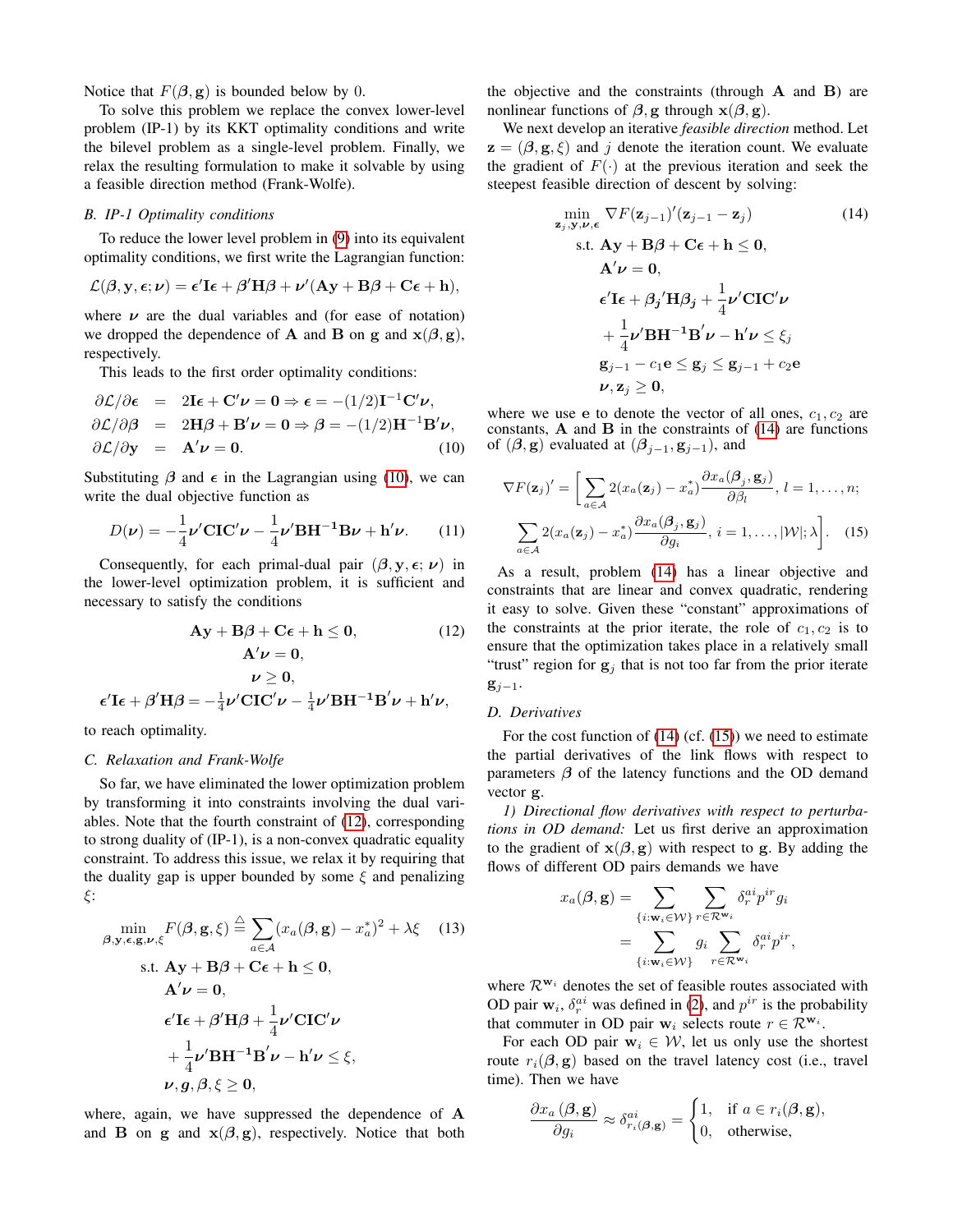Notice that  $F(\beta, \mathbf{g})$  is bounded below by 0.

To solve this problem we replace the convex lower-level problem (IP-1) by its KKT optimality conditions and write the bilevel problem as a single-level problem. Finally, we relax the resulting formulation to make it solvable by using a feasible direction method (Frank-Wolfe).

# *B. IP-1 Optimality conditions*

To reduce the lower level problem in (9) into its equivalent optimality conditions, we first write the Lagrangian function:

$$
\mathcal{L}(\boldsymbol{\beta}, \mathbf{y}, \boldsymbol{\epsilon}; \boldsymbol{\nu}) = \boldsymbol{\epsilon}' \mathbf{I} \boldsymbol{\epsilon} + \boldsymbol{\beta}' \mathbf{H} \boldsymbol{\beta} + \boldsymbol{\nu}' (\mathbf{A} \mathbf{y} + \mathbf{B} \boldsymbol{\beta} + \mathbf{C} \boldsymbol{\epsilon} + \mathbf{h}),
$$

where  $\nu$  are the dual variables and (for ease of notation) we dropped the dependence of **A** and **B** on g and  $x(\beta, g)$ , respectively.

This leads to the first order optimality conditions:

$$
\partial \mathcal{L}/\partial \epsilon = 2\mathbf{I}\epsilon + \mathbf{C}'\nu = 0 \Rightarrow \epsilon = -(1/2)\mathbf{I}^{-1}\mathbf{C}'\nu,
$$
  
\n
$$
\partial \mathcal{L}/\partial \beta = 2\mathbf{H}\beta + \mathbf{B}'\nu = 0 \Rightarrow \beta = -(1/2)\mathbf{H}^{-1}\mathbf{B}'\nu,
$$
  
\n
$$
\partial \mathcal{L}/\partial \mathbf{y} = \mathbf{A}'\nu = 0.
$$
 (10)

Substituting  $\beta$  and  $\epsilon$  in the Lagrangian using (10), we can write the dual objective function as

$$
D(\nu) = -\frac{1}{4}\nu' \mathbf{CIC}'\nu - \frac{1}{4}\nu' \mathbf{B} \mathbf{H}^{-1} \mathbf{B}\nu + \mathbf{h}' \nu. \tag{11}
$$

Consequently, for each primal-dual pair  $(\beta, y, \epsilon; \nu)$  in the lower-level optimization problem, it is sufficient and necessary to satisfy the conditions

$$
Ay + B\beta + C\epsilon + h \le 0,
$$
 (12)  
\n
$$
A'\nu = 0,
$$
  
\n
$$
\nu \ge 0,
$$
  
\n
$$
\epsilon'I\epsilon + \beta'H\beta = -\frac{1}{4}\nu'CIC'\nu - \frac{1}{4}\nu'BH^{-1}B'\nu + h'\nu,
$$

to reach optimality.

#### *C. Relaxation and Frank-Wolfe*

So far, we have eliminated the lower optimization problem by transforming it into constraints involving the dual variables. Note that the fourth constraint of (12), corresponding to strong duality of (IP-1), is a non-convex quadratic equality constraint. To address this issue, we relax it by requiring that the duality gap is upper bounded by some  $\xi$  and penalizing ξ:

$$
\min_{\beta, \mathbf{y}, \epsilon, \mathbf{g}, \nu, \xi} F(\beta, \mathbf{g}, \xi) \stackrel{\triangle}{=} \sum_{a \in \mathcal{A}} (x_a(\beta, \mathbf{g}) - x_a^*)^2 + \lambda \xi \quad (13)
$$
\n
$$
\text{s.t. } \mathbf{A}\mathbf{y} + \mathbf{B}\beta + \mathbf{C}\epsilon + \mathbf{h} \le \mathbf{0},
$$
\n
$$
\mathbf{A}'\mathbf{\nu} = \mathbf{0},
$$
\n
$$
\epsilon' \mathbf{I}\epsilon + \beta' \mathbf{H}\beta + \frac{1}{4} \mathbf{\nu}' \mathbf{C}\mathbf{I}\mathbf{C}'\mathbf{\nu}
$$
\n
$$
+ \frac{1}{4} \mathbf{\nu}' \mathbf{B}\mathbf{H}^{-1} \mathbf{B}'\mathbf{\nu} - \mathbf{h}'\mathbf{\nu} \le \xi,
$$
\n
$$
\mathbf{\nu}, \mathbf{g}, \beta, \xi \ge \mathbf{0},
$$
\n(13)

where, again, we have suppressed the dependence of A and **B** on **g** and  $\mathbf{x}(\beta, \mathbf{g})$ , respectively. Notice that both the objective and the constraints (through A and B) are nonlinear functions of  $\beta$ , g through  $\mathbf{x}(\beta, \mathbf{g})$ .

We next develop an iterative *feasible direction* method. Let  $z = (\beta, g, \xi)$  and j denote the iteration count. We evaluate the gradient of  $F(\cdot)$  at the previous iteration and seek the steepest feasible direction of descent by solving:

$$
\min_{\mathbf{z}_j, \mathbf{y}, \boldsymbol{\nu}, \boldsymbol{\epsilon}} \nabla F(\mathbf{z}_{j-1})'(\mathbf{z}_{j-1} - \mathbf{z}_j)
$$
(14)  
s.t.  $\mathbf{A}\mathbf{y} + \mathbf{B}\boldsymbol{\beta} + \mathbf{C}\boldsymbol{\epsilon} + \mathbf{h} \leq \mathbf{0},$   
 $\mathbf{A}'\boldsymbol{\nu} = \mathbf{0},$   
 $\boldsymbol{\epsilon}' \mathbf{I} \boldsymbol{\epsilon} + \beta_j' \mathbf{H} \beta_j + \frac{1}{4} \boldsymbol{\nu}' \mathbf{C} \mathbf{I} \mathbf{C}' \boldsymbol{\nu}$   
 $+ \frac{1}{4} \boldsymbol{\nu}' \mathbf{B} \mathbf{H}^{-1} \mathbf{B}' \boldsymbol{\nu} - \mathbf{h}' \boldsymbol{\nu} \leq \xi_j$   
 $\mathbf{g}_{j-1} - c_1 \mathbf{e} \leq \mathbf{g}_j \leq \mathbf{g}_{j-1} + c_2 \mathbf{e}$   
 $\boldsymbol{\nu}, \mathbf{z}_j \geq \mathbf{0},$  (14)

where we use e to denote the vector of all ones,  $c_1, c_2$  are constants,  $A$  and  $B$  in the constraints of (14) are functions of  $(\beta, \mathbf{g})$  evaluated at  $(\beta_{j-1}, \mathbf{g}_{j-1})$ , and

$$
\nabla F(\mathbf{z}_j)' = \left[ \sum_{a \in \mathcal{A}} 2(x_a(\mathbf{z}_j) - x_a^*) \frac{\partial x_a(\beta_j, \mathbf{g}_j)}{\partial \beta_l}, l = 1, ..., n; \right]
$$

$$
\sum_{a \in \mathcal{A}} 2(x_a(\mathbf{z}_j) - x_a^*) \frac{\partial x_a(\beta_j, \mathbf{g}_j)}{\partial g_i}, i = 1, ..., |\mathcal{W}|; \lambda \right]. \quad (15)
$$

As a result, problem (14) has a linear objective and constraints that are linear and convex quadratic, rendering it easy to solve. Given these "constant" approximations of the constraints at the prior iterate, the role of  $c_1, c_2$  is to ensure that the optimization takes place in a relatively small "trust" region for  $g_j$  that is not too far from the prior iterate  $g_{j-1}$ .

#### *D. Derivatives*

For the cost function of  $(14)$  (cf.  $(15)$ ) we need to estimate the partial derivatives of the link flows with respect to parameters  $\beta$  of the latency functions and the OD demand vector g.

*1) Directional flow derivatives with respect to perturbations in OD demand:* Let us first derive an approximation to the gradient of  $x(\beta, g)$  with respect to g. By adding the flows of different OD pairs demands we have

$$
x_a(\boldsymbol{\beta}, \mathbf{g}) = \sum_{\{i : \mathbf{w}_i \in \mathcal{W}\}} \sum_{r \in \mathcal{R}^{\mathbf{w}_i}} \delta_r^{ai} p^{ir} g_i
$$
  
= 
$$
\sum_{\{i : \mathbf{w}_i \in \mathcal{W}\}} g_i \sum_{r \in \mathcal{R}^{\mathbf{w}_i}} \delta_r^{ai} p^{ir},
$$

where  $\mathcal{R}^{w_i}$  denotes the set of feasible routes associated with OD pair  $w_i$ ,  $\delta_r^{ai}$  was defined in (2), and  $p^{ir}$  is the probability that commuter in OD pair  $w_i$  selects route  $r \in \mathcal{R}^{w_i}$ .

For each OD pair  $w_i \in \mathcal{W}$ , let us only use the shortest route  $r_i(\beta, g)$  based on the travel latency cost (i.e., travel time). Then we have

$$
\frac{\partial x_a(\boldsymbol{\beta}, \mathbf{g})}{\partial g_i} \approx \delta_{r_i(\boldsymbol{\beta}, \mathbf{g})}^{ai} = \begin{cases} 1, & \text{if } a \in r_i(\boldsymbol{\beta}, \mathbf{g}), \\ 0, & \text{otherwise}, \end{cases}
$$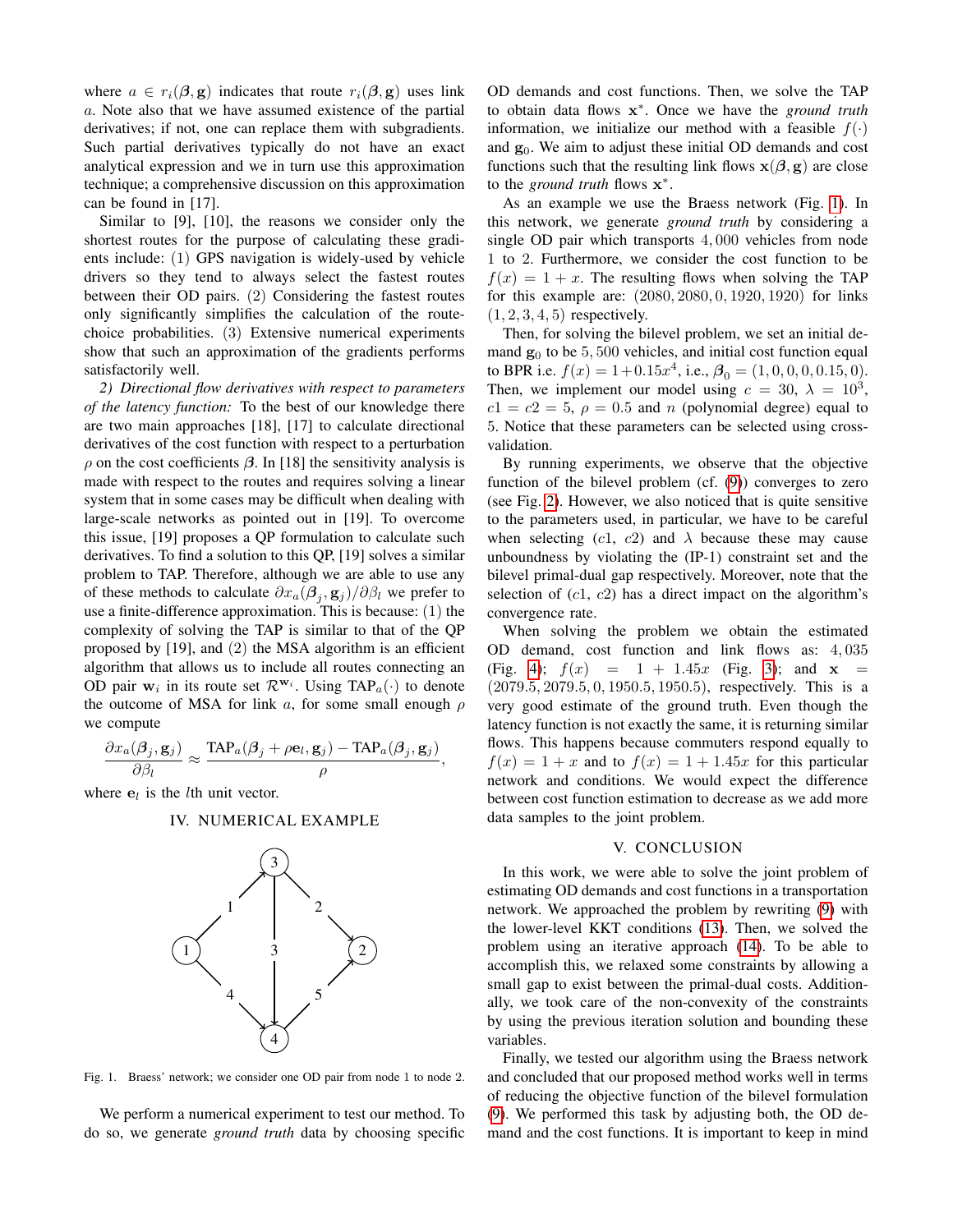where  $a \in r_i(\beta, \mathbf{g})$  indicates that route  $r_i(\beta, \mathbf{g})$  uses link a. Note also that we have assumed existence of the partial derivatives; if not, one can replace them with subgradients. Such partial derivatives typically do not have an exact analytical expression and we in turn use this approximation technique; a comprehensive discussion on this approximation can be found in [17].

Similar to [9], [10], the reasons we consider only the shortest routes for the purpose of calculating these gradients include: (1) GPS navigation is widely-used by vehicle drivers so they tend to always select the fastest routes between their OD pairs. (2) Considering the fastest routes only significantly simplifies the calculation of the routechoice probabilities. (3) Extensive numerical experiments show that such an approximation of the gradients performs satisfactorily well.

*2) Directional flow derivatives with respect to parameters of the latency function:* To the best of our knowledge there are two main approaches [18], [17] to calculate directional derivatives of the cost function with respect to a perturbation  $ρ$  on the cost coefficients  $β$ . In [18] the sensitivity analysis is made with respect to the routes and requires solving a linear system that in some cases may be difficult when dealing with large-scale networks as pointed out in [19]. To overcome this issue, [19] proposes a QP formulation to calculate such derivatives. To find a solution to this QP, [19] solves a similar problem to TAP. Therefore, although we are able to use any of these methods to calculate  $\partial x_a(\boldsymbol{\beta}_j, \mathbf{g}_j) / \partial \beta_l$  we prefer to use a finite-difference approximation. This is because: (1) the complexity of solving the TAP is similar to that of the QP proposed by [19], and (2) the MSA algorithm is an efficient algorithm that allows us to include all routes connecting an OD pair  $w_i$  in its route set  $\mathcal{R}^{w_i}$ . Using TAP<sub>a</sub>( $\cdot$ ) to denote the outcome of MSA for link a, for some small enough  $\rho$ we compute

$$
\frac{\partial x_a(\boldsymbol{\beta}_j,\mathbf{g}_j)}{\partial \beta_l}\approx \frac{\text{TAP}_a(\boldsymbol{\beta}_j+\rho\mathbf{e}_l,\mathbf{g}_j)-\text{TAP}_a(\boldsymbol{\beta}_j,\mathbf{g}_j)}{\rho},
$$

where  $e_l$  is the *l*th unit vector.

## IV. NUMERICAL EXAMPLE



Fig. 1. Braess' network; we consider one OD pair from node 1 to node 2.

We perform a numerical experiment to test our method. To do so, we generate *ground truth* data by choosing specific OD demands and cost functions. Then, we solve the TAP to obtain data flows x ∗ . Once we have the *ground truth* information, we initialize our method with a feasible  $f(\cdot)$ and  $g_0$ . We aim to adjust these initial OD demands and cost functions such that the resulting link flows  $\mathbf{x}(\beta, \mathbf{g})$  are close to the *ground truth* flows x ∗ .

As an example we use the Braess network (Fig. 1). In this network, we generate *ground truth* by considering a single OD pair which transports 4, 000 vehicles from node 1 to 2. Furthermore, we consider the cost function to be  $f(x) = 1 + x$ . The resulting flows when solving the TAP for this example are: (2080, 2080, 0, 1920, 1920) for links  $(1, 2, 3, 4, 5)$  respectively.

Then, for solving the bilevel problem, we set an initial demand  $g_0$  to be 5, 500 vehicles, and initial cost function equal to BPR i.e.  $f(x) = 1 + 0.15x^4$ , i.e.,  $\mathcal{B}_0 = (1, 0, 0, 0, 0.15, 0)$ . Then, we implement our model using  $c = 30$ ,  $\lambda = 10^3$ ,  $c1 = c2 = 5$ ,  $\rho = 0.5$  and n (polynomial degree) equal to 5. Notice that these parameters can be selected using crossvalidation.

By running experiments, we observe that the objective function of the bilevel problem (cf. (9)) converges to zero (see Fig. 2). However, we also noticed that is quite sensitive to the parameters used, in particular, we have to be careful when selecting (c1, c2) and  $\lambda$  because these may cause unboundness by violating the (IP-1) constraint set and the bilevel primal-dual gap respectively. Moreover, note that the selection of  $(c1, c2)$  has a direct impact on the algorithm's convergence rate.

When solving the problem we obtain the estimated OD demand, cost function and link flows as: 4, 035 (Fig. 4);  $f(x) = 1 + 1.45x$  (Fig. 3); and  $x =$ (2079.5, 2079.5, 0, 1950.5, 1950.5), respectively. This is a very good estimate of the ground truth. Even though the latency function is not exactly the same, it is returning similar flows. This happens because commuters respond equally to  $f(x) = 1 + x$  and to  $f(x) = 1 + 1.45x$  for this particular network and conditions. We would expect the difference between cost function estimation to decrease as we add more data samples to the joint problem.

#### V. CONCLUSION

In this work, we were able to solve the joint problem of estimating OD demands and cost functions in a transportation network. We approached the problem by rewriting (9) with the lower-level KKT conditions (13). Then, we solved the problem using an iterative approach (14). To be able to accomplish this, we relaxed some constraints by allowing a small gap to exist between the primal-dual costs. Additionally, we took care of the non-convexity of the constraints by using the previous iteration solution and bounding these variables.

Finally, we tested our algorithm using the Braess network and concluded that our proposed method works well in terms of reducing the objective function of the bilevel formulation (9). We performed this task by adjusting both, the OD demand and the cost functions. It is important to keep in mind